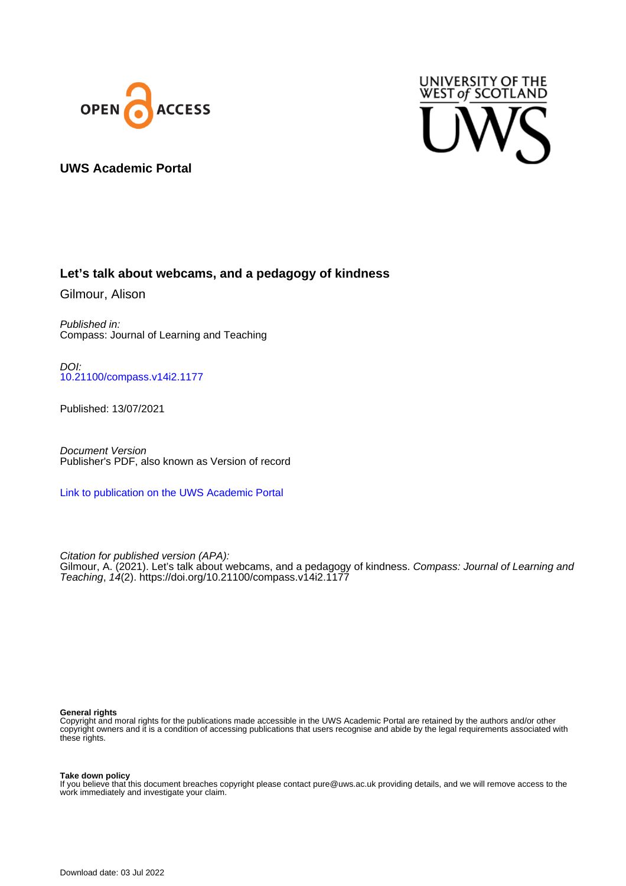



### **UWS Academic Portal**

### **Let's talk about webcams, and a pedagogy of kindness**

Gilmour, Alison

Published in: Compass: Journal of Learning and Teaching

DOI: [10.21100/compass.v14i2.1177](https://doi.org/10.21100/compass.v14i2.1177)

Published: 13/07/2021

Document Version Publisher's PDF, also known as Version of record

[Link to publication on the UWS Academic Portal](https://uws.pure.elsevier.com/en/publications/248a703b-d55e-4709-94cc-b65c9d36c118)

Citation for published version (APA): Gilmour, A. (2021). Let's talk about webcams, and a pedagogy of kindness. Compass: Journal of Learning and Teaching, 14(2). <https://doi.org/10.21100/compass.v14i2.1177>

#### **General rights**

Copyright and moral rights for the publications made accessible in the UWS Academic Portal are retained by the authors and/or other copyright owners and it is a condition of accessing publications that users recognise and abide by the legal requirements associated with these rights.

#### **Take down policy**

If you believe that this document breaches copyright please contact pure@uws.ac.uk providing details, and we will remove access to the work immediately and investigate your claim.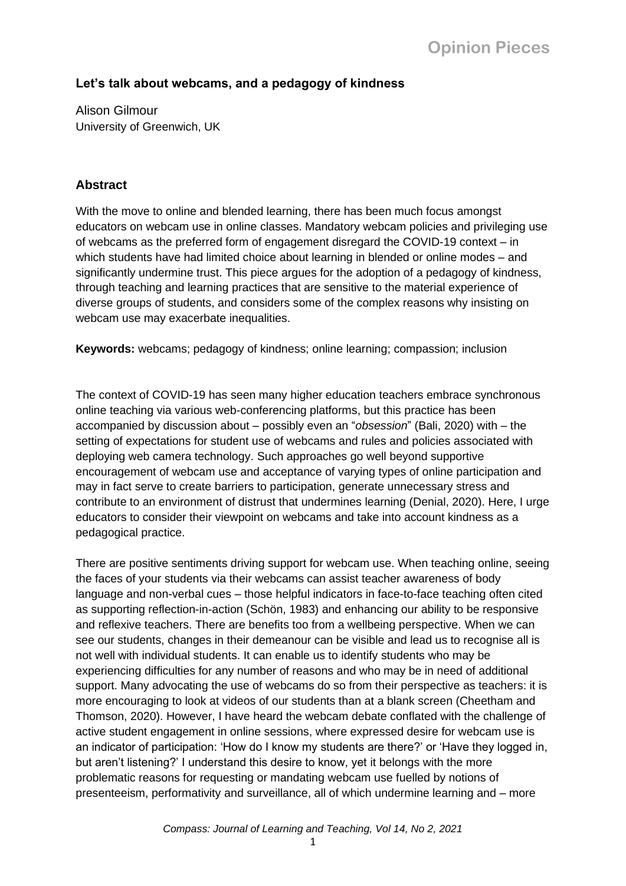## **Let's talk about webcams, and a pedagogy of kindness**

Alison Gilmour University of Greenwich, UK

## **Abstract**

With the move to online and blended learning, there has been much focus amongst educators on webcam use in online classes. Mandatory webcam policies and privileging use of webcams as the preferred form of engagement disregard the COVID-19 context – in which students have had limited choice about learning in blended or online modes – and significantly undermine trust. This piece argues for the adoption of a pedagogy of kindness, through teaching and learning practices that are sensitive to the material experience of diverse groups of students, and considers some of the complex reasons why insisting on webcam use may exacerbate inequalities.

**Keywords:** webcams; pedagogy of kindness; online learning; compassion; inclusion

The context of COVID-19 has seen many higher education teachers embrace synchronous online teaching via various web-conferencing platforms, but this practice has been accompanied by discussion about – possibly even an "*obsession*" (Bali, 2020) with – the setting of expectations for student use of webcams and rules and policies associated with deploying web camera technology. Such approaches go well beyond supportive encouragement of webcam use and acceptance of varying types of online participation and may in fact serve to create barriers to participation, generate unnecessary stress and contribute to an environment of distrust that undermines learning (Denial, 2020). Here, I urge educators to consider their viewpoint on webcams and take into account kindness as a pedagogical practice.

There are positive sentiments driving support for webcam use. When teaching online, seeing the faces of your students via their webcams can assist teacher awareness of body language and non-verbal cues – those helpful indicators in face-to-face teaching often cited as supporting reflection-in-action (Schön, 1983) and enhancing our ability to be responsive and reflexive teachers. There are benefits too from a wellbeing perspective. When we can see our students, changes in their demeanour can be visible and lead us to recognise all is not well with individual students. It can enable us to identify students who may be experiencing difficulties for any number of reasons and who may be in need of additional support. Many advocating the use of webcams do so from their perspective as teachers: it is more encouraging to look at videos of our students than at a blank screen (Cheetham and Thomson, 2020). However, I have heard the webcam debate conflated with the challenge of active student engagement in online sessions, where expressed desire for webcam use is an indicator of participation: 'How do I know my students are there?' or 'Have they logged in, but aren't listening?' I understand this desire to know, yet it belongs with the more problematic reasons for requesting or mandating webcam use fuelled by notions of presenteeism, performativity and surveillance, all of which undermine learning and – more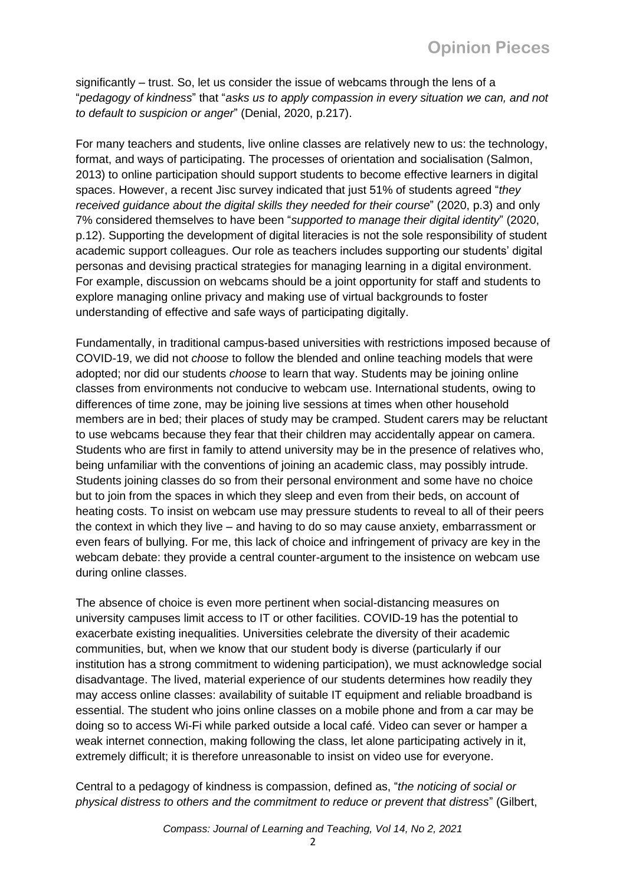significantly – trust. So, let us consider the issue of webcams through the lens of a "*pedagogy of kindness*" that "*asks us to apply compassion in every situation we can, and not to default to suspicion or anger*" (Denial, 2020, p.217).

For many teachers and students, live online classes are relatively new to us: the technology, format, and ways of participating. The processes of orientation and socialisation (Salmon, 2013) to online participation should support students to become effective learners in digital spaces. However, a recent Jisc survey indicated that just 51% of students agreed "*they received guidance about the digital skills they needed for their course*" (2020, p.3) and only 7% considered themselves to have been "*supported to manage their digital identity*" (2020, p.12). Supporting the development of digital literacies is not the sole responsibility of student academic support colleagues. Our role as teachers includes supporting our students' digital personas and devising practical strategies for managing learning in a digital environment. For example, discussion on webcams should be a joint opportunity for staff and students to explore managing online privacy and making use of virtual backgrounds to foster understanding of effective and safe ways of participating digitally.

Fundamentally, in traditional campus-based universities with restrictions imposed because of COVID-19, we did not *choose* to follow the blended and online teaching models that were adopted; nor did our students *choose* to learn that way. Students may be joining online classes from environments not conducive to webcam use. International students, owing to differences of time zone, may be joining live sessions at times when other household members are in bed; their places of study may be cramped. Student carers may be reluctant to use webcams because they fear that their children may accidentally appear on camera. Students who are first in family to attend university may be in the presence of relatives who, being unfamiliar with the conventions of joining an academic class, may possibly intrude. Students joining classes do so from their personal environment and some have no choice but to join from the spaces in which they sleep and even from their beds, on account of heating costs. To insist on webcam use may pressure students to reveal to all of their peers the context in which they live – and having to do so may cause anxiety, embarrassment or even fears of bullying. For me, this lack of choice and infringement of privacy are key in the webcam debate: they provide a central counter-argument to the insistence on webcam use during online classes.

The absence of choice is even more pertinent when social-distancing measures on university campuses limit access to IT or other facilities. COVID-19 has the potential to exacerbate existing inequalities. Universities celebrate the diversity of their academic communities, but, when we know that our student body is diverse (particularly if our institution has a strong commitment to widening participation), we must acknowledge social disadvantage. The lived, material experience of our students determines how readily they may access online classes: availability of suitable IT equipment and reliable broadband is essential. The student who joins online classes on a mobile phone and from a car may be doing so to access Wi-Fi while parked outside a local café. Video can sever or hamper a weak internet connection, making following the class, let alone participating actively in it, extremely difficult; it is therefore unreasonable to insist on video use for everyone.

Central to a pedagogy of kindness is compassion, defined as, "*the noticing of social or physical distress to others and the commitment to reduce or prevent that distress*" (Gilbert,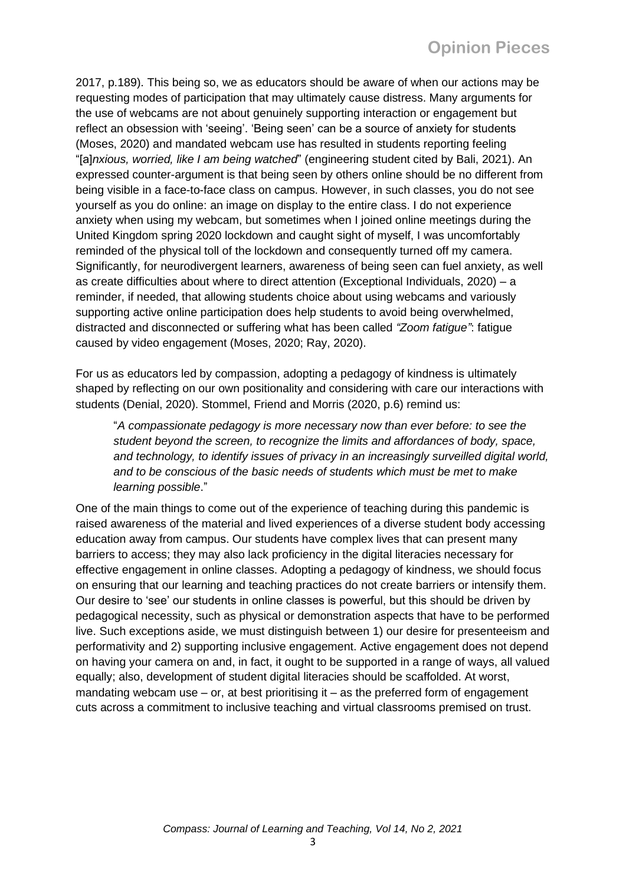2017, p.189). This being so, we as educators should be aware of when our actions may be requesting modes of participation that may ultimately cause distress. Many arguments for the use of webcams are not about genuinely supporting interaction or engagement but reflect an obsession with 'seeing'. 'Being seen' can be a source of anxiety for students (Moses, 2020) and mandated webcam use has resulted in students reporting feeling "[a]*nxious, worried, like I am being watched*" (engineering student cited by Bali, 2021). An expressed counter-argument is that being seen by others online should be no different from being visible in a face-to-face class on campus. However, in such classes, you do not see yourself as you do online: an image on display to the entire class. I do not experience anxiety when using my webcam, but sometimes when I joined online meetings during the United Kingdom spring 2020 lockdown and caught sight of myself, I was uncomfortably reminded of the physical toll of the lockdown and consequently turned off my camera. Significantly, for neurodivergent learners, awareness of being seen can fuel anxiety, as well as create difficulties about where to direct attention (Exceptional Individuals, 2020) – a reminder, if needed, that allowing students choice about using webcams and variously supporting active online participation does help students to avoid being overwhelmed, distracted and disconnected or suffering what has been called *"Zoom fatigue"*: fatigue caused by video engagement (Moses, 2020; Ray, 2020).

For us as educators led by compassion, adopting a pedagogy of kindness is ultimately shaped by reflecting on our own positionality and considering with care our interactions with students (Denial, 2020). Stommel, Friend and Morris (2020, p.6) remind us:

"*A compassionate pedagogy is more necessary now than ever before: to see the student beyond the screen, to recognize the limits and affordances of body, space,*  and technology, to identify issues of privacy in an increasingly surveilled digital world, *and to be conscious of the basic needs of students which must be met to make learning possible*."

One of the main things to come out of the experience of teaching during this pandemic is raised awareness of the material and lived experiences of a diverse student body accessing education away from campus. Our students have complex lives that can present many barriers to access; they may also lack proficiency in the digital literacies necessary for effective engagement in online classes. Adopting a pedagogy of kindness, we should focus on ensuring that our learning and teaching practices do not create barriers or intensify them. Our desire to 'see' our students in online classes is powerful, but this should be driven by pedagogical necessity, such as physical or demonstration aspects that have to be performed live. Such exceptions aside, we must distinguish between 1) our desire for presenteeism and performativity and 2) supporting inclusive engagement. Active engagement does not depend on having your camera on and, in fact, it ought to be supported in a range of ways, all valued equally; also, development of student digital literacies should be scaffolded. At worst, mandating webcam use – or, at best prioritising it – as the preferred form of engagement cuts across a commitment to inclusive teaching and virtual classrooms premised on trust.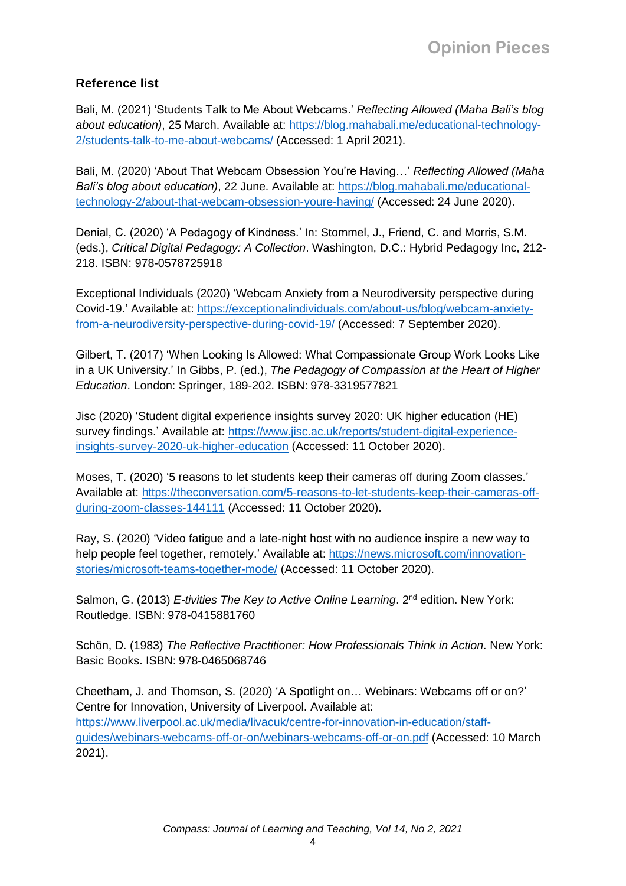# **Reference list**

Bali, M. (2021) 'Students Talk to Me About Webcams.' *Reflecting Allowed (Maha Bali's blog about education)*, 25 March. Available at: [https://blog.mahabali.me/educational-technology-](https://blog.mahabali.me/educational-technology-2/students-talk-to-me-about-webcams/)[2/students-talk-to-me-about-webcams/](https://blog.mahabali.me/educational-technology-2/students-talk-to-me-about-webcams/) (Accessed: 1 April 2021).

Bali, M. (2020) 'About That Webcam Obsession You're Having…' *Reflecting Allowed (Maha Bali's blog about education)*, 22 June. Available at: [https://blog.mahabali.me/educational](https://blog.mahabali.me/educational-technology-2/about-that-webcam-obsession-youre-having/)[technology-2/about-that-webcam-obsession-youre-having/](https://blog.mahabali.me/educational-technology-2/about-that-webcam-obsession-youre-having/) (Accessed: 24 June 2020).

Denial, C. (2020) 'A Pedagogy of Kindness.' In: Stommel, J., Friend, C. and Morris, S.M. (eds.), *Critical Digital Pedagogy: A Collection*. Washington, D.C.: Hybrid Pedagogy Inc, 212- 218. ISBN: 978-0578725918

Exceptional Individuals (2020) 'Webcam Anxiety from a Neurodiversity perspective during Covid-19.' Available at: [https://exceptionalindividuals.com/about-us/blog/webcam-anxiety](https://exceptionalindividuals.com/about-us/blog/webcam-anxiety-from-a-neurodiversity-perspective-during-covid-19/)[from-a-neurodiversity-perspective-during-covid-19/](https://exceptionalindividuals.com/about-us/blog/webcam-anxiety-from-a-neurodiversity-perspective-during-covid-19/) (Accessed: 7 September 2020).

Gilbert, T. (2017) 'When Looking Is Allowed: What Compassionate Group Work Looks Like in a UK University.' In Gibbs, P. (ed.), *The Pedagogy of Compassion at the Heart of Higher Education*. London: Springer, 189-202. ISBN: 978-3319577821

Jisc (2020) 'Student digital experience insights survey 2020: UK higher education (HE) survey findings.' Available at: [https://www.jisc.ac.uk/reports/student-digital-experience](https://www.jisc.ac.uk/reports/student-digital-experience-insights-survey-2020-uk-higher-education)[insights-survey-2020-uk-higher-education](https://www.jisc.ac.uk/reports/student-digital-experience-insights-survey-2020-uk-higher-education) (Accessed: 11 October 2020).

Moses, T. (2020) '5 reasons to let students keep their cameras off during Zoom classes.' Available at: [https://theconversation.com/5-reasons-to-let-students-keep-their-cameras-off](https://theconversation.com/5-reasons-to-let-students-keep-their-cameras-off-during-zoom-classes-144111)[during-zoom-classes-144111](https://theconversation.com/5-reasons-to-let-students-keep-their-cameras-off-during-zoom-classes-144111) (Accessed: 11 October 2020).

Ray, S. (2020) 'Video fatigue and a late-night host with no audience inspire a new way to help people feel together, remotely.' Available at: [https://news.microsoft.com/innovation](https://news.microsoft.com/innovation-stories/microsoft-teams-together-mode/)[stories/microsoft-teams-together-mode/](https://news.microsoft.com/innovation-stories/microsoft-teams-together-mode/) (Accessed: 11 October 2020).

Salmon, G. (2013) *E-tivities The Key to Active Online Learning*. 2<sup>nd</sup> edition. New York: Routledge. ISBN: 978-0415881760

Schön, D. (1983) *The Reflective Practitioner: How Professionals Think in Action*. New York: Basic Books. ISBN: 978-0465068746

Cheetham, J. and Thomson, S. (2020) 'A Spotlight on… Webinars: Webcams off or on?' Centre for Innovation, University of Liverpool. Available at: [https://www.liverpool.ac.uk/media/livacuk/centre-for-innovation-in-education/staff](https://www.liverpool.ac.uk/media/livacuk/centre-for-innovation-in-education/staff-guides/webinars-webcams-off-or-on/webinars-webcams-off-or-on.pdf)[guides/webinars-webcams-off-or-on/webinars-webcams-off-or-on.pdf](https://www.liverpool.ac.uk/media/livacuk/centre-for-innovation-in-education/staff-guides/webinars-webcams-off-or-on/webinars-webcams-off-or-on.pdf) (Accessed: 10 March 2021).